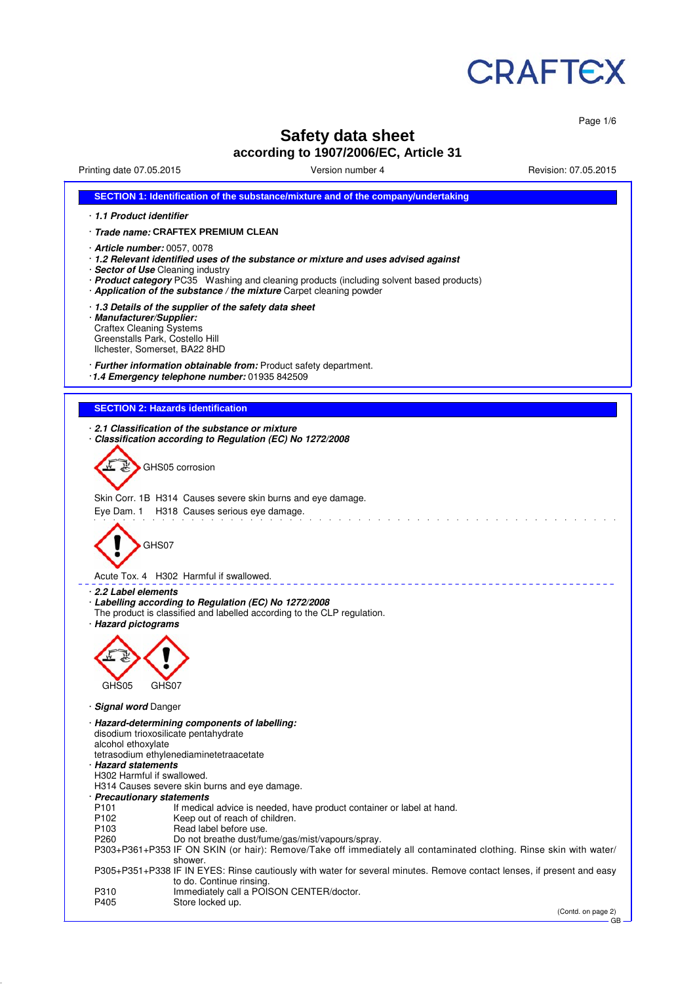

Page 1/6

# **Safety data sheet**

# **according to 1907/2006/EC, Article 31**

Printing date 07.05.2015 Version number 4 Revision: 07.05.2015

| SECTION 1: Identification of the substance/mixture and of the company/undertaking                                                                                                                                                                                                                                           |
|-----------------------------------------------------------------------------------------------------------------------------------------------------------------------------------------------------------------------------------------------------------------------------------------------------------------------------|
| 1.1 Product identifier                                                                                                                                                                                                                                                                                                      |
| · Trade name: CRAFTEX PREMIUM CLEAN                                                                                                                                                                                                                                                                                         |
| · Article number: 0057, 0078<br>· 1.2 Relevant identified uses of the substance or mixture and uses advised against<br>· Sector of Use Cleaning industry<br>· Product category PC35 Washing and cleaning products (including solvent based products)<br>· Application of the substance / the mixture Carpet cleaning powder |
| 1.3 Details of the supplier of the safety data sheet<br>· Manufacturer/Supplier:<br><b>Craftex Cleaning Systems</b><br>Greenstalls Park, Costello Hill<br>Ilchester, Somerset, BA22 8HD                                                                                                                                     |
| · Further information obtainable from: Product safety department.<br>1.4 Emergency telephone number: 01935 842509                                                                                                                                                                                                           |
| <b>SECTION 2: Hazards identification</b>                                                                                                                                                                                                                                                                                    |
|                                                                                                                                                                                                                                                                                                                             |
| 2.1 Classification of the substance or mixture<br>Classification according to Regulation (EC) No 1272/2008                                                                                                                                                                                                                  |
| GHS05 corrosion                                                                                                                                                                                                                                                                                                             |
| Skin Corr. 1B H314 Causes severe skin burns and eye damage.                                                                                                                                                                                                                                                                 |
| Eye Dam. 1 H318 Causes serious eye damage.                                                                                                                                                                                                                                                                                  |
| GHS07<br>Acute Tox. 4 H302 Harmful if swallowed.                                                                                                                                                                                                                                                                            |
| ⋅ 2.2 Label elements                                                                                                                                                                                                                                                                                                        |
| · Labelling according to Regulation (EC) No 1272/2008<br>The product is classified and labelled according to the CLP regulation.<br>· Hazard pictograms                                                                                                                                                                     |
| GHS05<br>GHS07                                                                                                                                                                                                                                                                                                              |
|                                                                                                                                                                                                                                                                                                                             |
| <b>Signal word Danger</b>                                                                                                                                                                                                                                                                                                   |
| · Hazard-determining components of labelling:<br>disodium trioxosilicate pentahydrate<br>alcohol ethoxylate<br>tetrasodium ethylenediaminetetraacetate<br>· Hazard statements<br>H302 Harmful if swallowed.                                                                                                                 |
| H314 Causes severe skin burns and eye damage.<br>· Precautionary statements                                                                                                                                                                                                                                                 |
| P <sub>101</sub><br>If medical advice is needed, have product container or label at hand.<br>P102                                                                                                                                                                                                                           |
| Keep out of reach of children.<br>P <sub>103</sub><br>Read label before use.                                                                                                                                                                                                                                                |
| P <sub>260</sub><br>Do not breathe dust/fume/gas/mist/vapours/spray.<br>P303+P361+P353 IF ON SKIN (or hair): Remove/Take off immediately all contaminated clothing. Rinse skin with water/<br>shower.                                                                                                                       |
| P305+P351+P338 IF IN EYES: Rinse cautiously with water for several minutes. Remove contact lenses, if present and easy<br>to do. Continue rinsing.                                                                                                                                                                          |
| Immediately call a POISON CENTER/doctor.<br>P310<br>P405<br>Store locked up.                                                                                                                                                                                                                                                |
| (Contd. on page 2)                                                                                                                                                                                                                                                                                                          |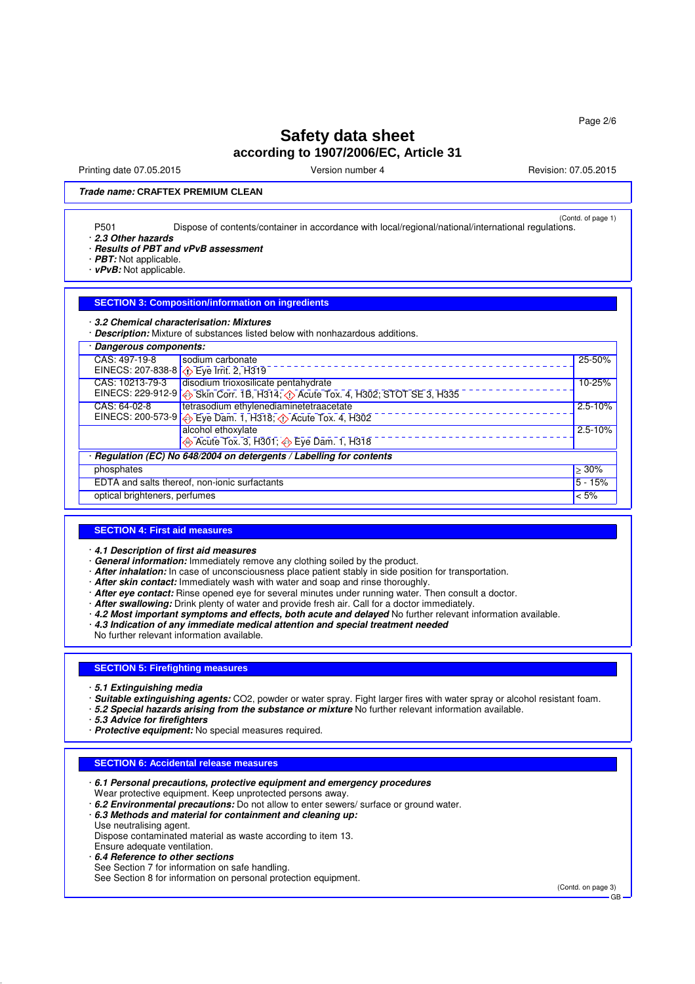Printing date 07.05.2015 **Version number 4** Account 2008 2015 **Revision: 07.05.2015** 

## **Trade name: CRAFTEX PREMIUM CLEAN**

(Contd. of page 1) P501 Dispose of contents/container in accordance with local/regional/national/international regulations.

· **2.3 Other hazards**

· **Results of PBT and vPvB assessment**

· **PBT:** Not applicable.

· **vPvB:** Not applicable.

#### **SECTION 3: Composition/information on ingredients**

· **3.2 Chemical characterisation: Mixtures**

· **Description:** Mixture of substances listed below with nonhazardous additions.

| CAS: 497-19-8<br>sodium carbonate<br>EINECS: 207-838-8 ( $\bigcirc$ Eye Irrit. 2, H319             | 25-50%      |  |  |  |
|----------------------------------------------------------------------------------------------------|-------------|--|--|--|
|                                                                                                    |             |  |  |  |
|                                                                                                    |             |  |  |  |
| disodium trioxosilicate pentahydrate<br>CAS: 10213-79-3                                            | 10-25%      |  |  |  |
| EINECS: 229-912-9 $\bigotimes$ Skin Corr. 1B, H314; $\bigcirc$ Acute Tox. 4, H302; STOT SE 3, H335 |             |  |  |  |
| tetrasodium ethylenediaminetetraacetate<br>CAS: 64-02-8                                            | $2.5 - 10%$ |  |  |  |
| EINECS: 200-573-9 $\bigotimes$ Eye Dam. 1, H318; $\bigotimes$ Acute Tox. 4, H302                   |             |  |  |  |
| alcohol ethoxylate                                                                                 | $2.5 - 10%$ |  |  |  |
| Acute Tox. 3, H301; $\overline{\diamond}$ Eye Dam. 1, H318                                         |             |  |  |  |
| Regulation (EC) No 648/2004 on detergents / Labelling for contents                                 |             |  |  |  |
| phosphates                                                                                         | $\geq 30\%$ |  |  |  |
| EDTA and salts thereof, non-ionic surfactants                                                      | $5 - 15%$   |  |  |  |
| optical brighteners, perfumes<br>$< 5\%$                                                           |             |  |  |  |

#### **SECTION 4: First aid measures**

· **4.1 Description of first aid measures**

- · **General information:** Immediately remove any clothing soiled by the product.
- · **After inhalation:** In case of unconsciousness place patient stably in side position for transportation.
- · **After skin contact:** Immediately wash with water and soap and rinse thoroughly.
- · **After eye contact:** Rinse opened eye for several minutes under running water. Then consult a doctor.
- · **After swallowing:** Drink plenty of water and provide fresh air. Call for a doctor immediately.
- · **4.2 Most important symptoms and effects, both acute and delayed** No further relevant information available.
- · **4.3 Indication of any immediate medical attention and special treatment needed**

No further relevant information available.

## **SECTION 5: Firefighting measures**

- · **5.1 Extinguishing media**
- · **Suitable extinguishing agents:** CO2, powder or water spray. Fight larger fires with water spray or alcohol resistant foam.
- · **5.2 Special hazards arising from the substance or mixture** No further relevant information available.
- · **5.3 Advice for firefighters**
- · **Protective equipment:** No special measures required.

#### **SECTION 6: Accidental release measures**

- · **6.1 Personal precautions, protective equipment and emergency procedures** Wear protective equipment. Keep unprotected persons away.
- · **6.2 Environmental precautions:** Do not allow to enter sewers/ surface or ground water.

· **6.3 Methods and material for containment and cleaning up:**

Use neutralising agent. Dispose contaminated material as waste according to item 13.

Ensure adequate ventilation.

- · **6.4 Reference to other sections**
- See Section 7 for information on safe handling.

See Section 8 for information on personal protection equipment.

(Contd. on page 3) GB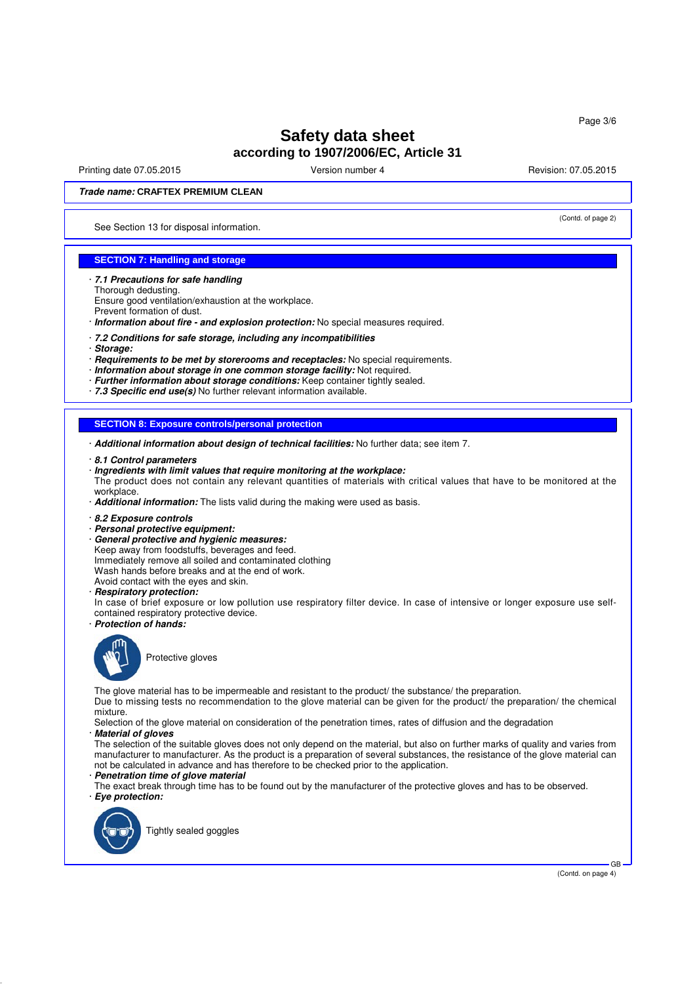Printing date 07.05.2015 **Version number 4** According the Version: 07.05.2015 **Revision: 07.05.2015** 

(Contd. of page 2)

#### **Trade name: CRAFTEX PREMIUM CLEAN**

See Section 13 for disposal information.

## **SECTION 7: Handling and storage**

- · **7.1 Precautions for safe handling**
- Thorough dedusting.
- Ensure good ventilation/exhaustion at the workplace.
- Prevent formation of dust.
- · **Information about fire and explosion protection:** No special measures required.
- · **7.2 Conditions for safe storage, including any incompatibilities**
- · **Storage:**
- · **Requirements to be met by storerooms and receptacles:** No special requirements.
- · **Information about storage in one common storage facility:** Not required.
- · **Further information about storage conditions:** Keep container tightly sealed.
- · **7.3 Specific end use(s)** No further relevant information available.

#### **SECTION 8: Exposure controls/personal protection**

- · **Additional information about design of technical facilities:** No further data; see item 7.
- · **8.1 Control parameters**
- · **Ingredients with limit values that require monitoring at the workplace:**

The product does not contain any relevant quantities of materials with critical values that have to be monitored at the workplace.

- · **Additional information:** The lists valid during the making were used as basis.
- · **8.2 Exposure controls**
- · **Personal protective equipment:**
- · **General protective and hygienic measures:** Keep away from foodstuffs, beverages and feed. Immediately remove all soiled and contaminated clothing
- Wash hands before breaks and at the end of work.
- Avoid contact with the eyes and skin.
- · **Respiratory protection:**
- In case of brief exposure or low pollution use respiratory filter device. In case of intensive or longer exposure use selfcontained respiratory protective device.
- · **Protection of hands:**



Protective gloves

The glove material has to be impermeable and resistant to the product/ the substance/ the preparation.

Due to missing tests no recommendation to the glove material can be given for the product/ the preparation/ the chemical mixture.

Selection of the glove material on consideration of the penetration times, rates of diffusion and the degradation

#### · **Material of gloves**

The selection of the suitable gloves does not only depend on the material, but also on further marks of quality and varies from manufacturer to manufacturer. As the product is a preparation of several substances, the resistance of the glove material can not be calculated in advance and has therefore to be checked prior to the application.

#### · **Penetration time of glove material**

The exact break through time has to be found out by the manufacturer of the protective gloves and has to be observed. · **Eye protection:**



Tightly sealed goggles

GB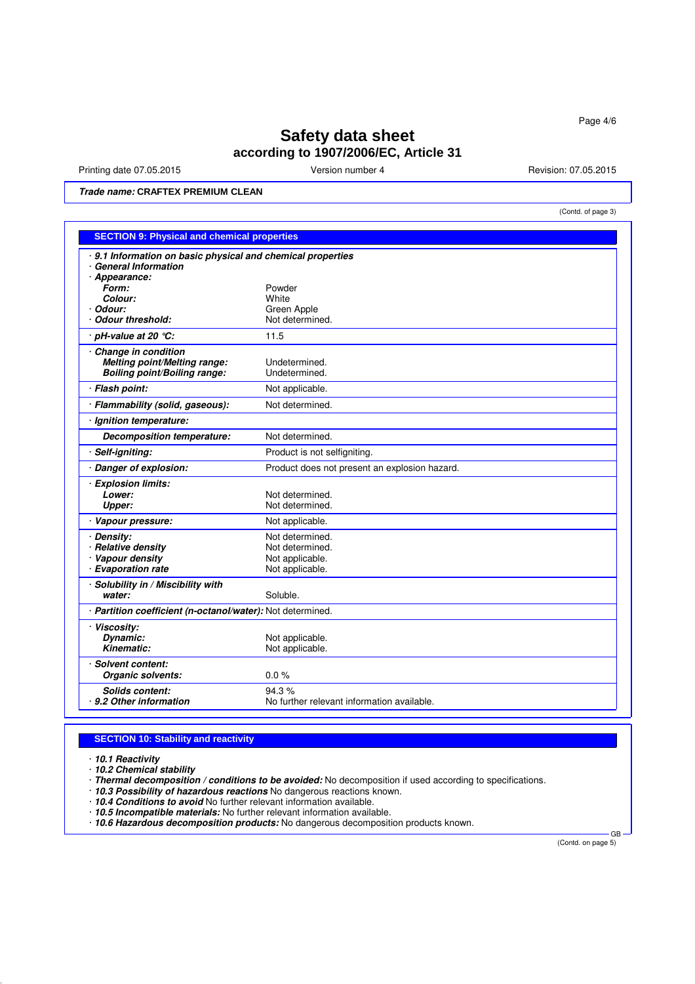Printing date 07.05.2015 Version number 4 Revision: 07.05.2015

(Contd. of page 3)

**Trade name: CRAFTEX PREMIUM CLEAN**

| <b>SECTION 9: Physical and chemical properties</b>                                      |                                               |  |  |
|-----------------------------------------------------------------------------------------|-----------------------------------------------|--|--|
| 9.1 Information on basic physical and chemical properties<br><b>General Information</b> |                                               |  |  |
| · Appearance:<br>Form:                                                                  | Powder                                        |  |  |
| Colour:                                                                                 | White                                         |  |  |
| Odour:                                                                                  | Green Apple                                   |  |  |
| <b>Odour threshold:</b>                                                                 | Not determined.                               |  |  |
| $pH$ -value at 20 °C:                                                                   | 11.5                                          |  |  |
| Change in condition                                                                     |                                               |  |  |
| Melting point/Melting range:                                                            | Undetermined.                                 |  |  |
| Boiling point/Boiling range:                                                            | Undetermined.                                 |  |  |
| · Flash point:                                                                          | Not applicable.                               |  |  |
| Flammability (solid, gaseous):                                                          | Not determined.                               |  |  |
| · Ignition temperature:                                                                 |                                               |  |  |
| Decomposition temperature:                                                              | Not determined.                               |  |  |
| Self-igniting:                                                                          | Product is not selfigniting.                  |  |  |
| · Danger of explosion:                                                                  | Product does not present an explosion hazard. |  |  |
| <b>Explosion limits:</b>                                                                |                                               |  |  |
| Lower:                                                                                  | Not determined.                               |  |  |
| Upper:                                                                                  | Not determined.                               |  |  |
| Vapour pressure:                                                                        | Not applicable.                               |  |  |
| <b>Density:</b>                                                                         | Not determined.                               |  |  |
| <b>Relative density</b>                                                                 | Not determined.                               |  |  |
| Vapour density                                                                          | Not applicable.                               |  |  |
| <b>Evaporation rate</b>                                                                 | Not applicable.                               |  |  |
| Solubility in / Miscibility with<br>water:                                              | Soluble.                                      |  |  |
| · Partition coefficient (n-octanol/water): Not determined.                              |                                               |  |  |
| · Viscosity:                                                                            |                                               |  |  |
| Dynamic:                                                                                | Not applicable.                               |  |  |
| Kinematic:                                                                              | Not applicable.                               |  |  |
| · Solvent content:                                                                      |                                               |  |  |
| Organic solvents:                                                                       | 0.0%                                          |  |  |
| <b>Solids content:</b>                                                                  | 94.3%                                         |  |  |
| 9.2 Other information                                                                   | No further relevant information available.    |  |  |

## **SECTION 10: Stability and reactivity**

· **10.1 Reactivity**

- · **10.2 Chemical stability**
- · **Thermal decomposition / conditions to be avoided:** No decomposition if used according to specifications.
- · **10.3 Possibility of hazardous reactions** No dangerous reactions known.
- · **10.4 Conditions to avoid** No further relevant information available.
- · **10.5 Incompatible materials:** No further relevant information available.
- · **10.6 Hazardous decomposition products:** No dangerous decomposition products known.

(Contd. on page 5)

GB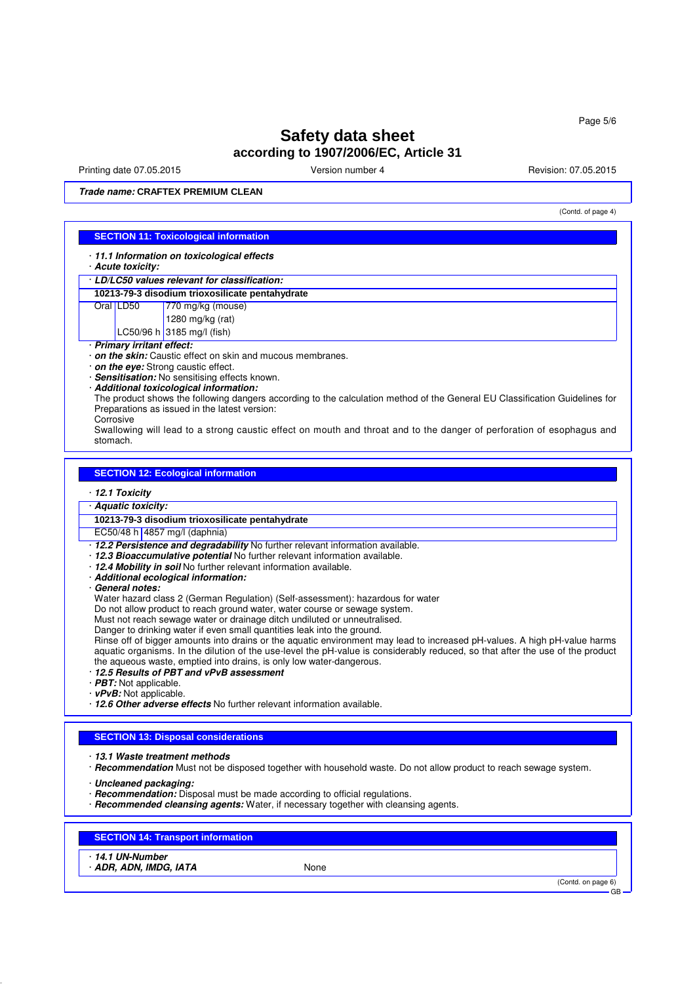Printing date 07.05.2015 **Version number 4** Account 2008 2015 **Revision: 07.05.2015** 

(Contd. of page 4)

**Trade name: CRAFTEX PREMIUM CLEAN**

## **SECTION 11: Toxicological information**

· **11.1 Information on toxicological effects**

· **Acute toxicity:**

· **LD/LC50 values relevant for classification:**

#### **10213-79-3 disodium trioxosilicate pentahydrate**

Oral LD50 770 mg/kg (mouse)

1280 mg/kg (rat)

LC50/96 h 3185 mg/l (fish)

· **Primary irritant effect:**

· **on the skin:** Caustic effect on skin and mucous membranes.

· **on the eye:** Strong caustic effect.

· **Sensitisation:** No sensitising effects known.

· **Additional toxicological information:**

The product shows the following dangers according to the calculation method of the General EU Classification Guidelines for Preparations as issued in the latest version:

Corrosive

Swallowing will lead to a strong caustic effect on mouth and throat and to the danger of perforation of esophagus and stomach.

## **SECTION 12: Ecological information**

· **12.1 Toxicity**

· **Aquatic toxicity:**

**10213-79-3 disodium trioxosilicate pentahydrate**

EC50/48 h 4857 mg/l (daphnia)

· **12.2 Persistence and degradability** No further relevant information available.

- · **12.3 Bioaccumulative potential** No further relevant information available.
- · **12.4 Mobility in soil** No further relevant information available.
- · **Additional ecological information:**
- · **General notes:**

Water hazard class 2 (German Regulation) (Self-assessment): hazardous for water

Do not allow product to reach ground water, water course or sewage system.

Must not reach sewage water or drainage ditch undiluted or unneutralised.

Danger to drinking water if even small quantities leak into the ground.

Rinse off of bigger amounts into drains or the aquatic environment may lead to increased pH-values. A high pH-value harms aquatic organisms. In the dilution of the use-level the pH-value is considerably reduced, so that after the use of the product the aqueous waste, emptied into drains, is only low water-dangerous.

- · **12.5 Results of PBT and vPvB assessment**
- · **PBT:** Not applicable.
- · **vPvB:** Not applicable.
- · **12.6 Other adverse effects** No further relevant information available.

#### **SECTION 13: Disposal considerations**

- · **13.1 Waste treatment methods**
- · **Recommendation** Must not be disposed together with household waste. Do not allow product to reach sewage system.
- · **Uncleaned packaging:**
- · **Recommendation:** Disposal must be made according to official regulations.
- · **Recommended cleansing agents:** Water, if necessary together with cleansing agents.

## **SECTION 14: Transport information**

- · **14.1 UN-Number**
- **ADR, ADN, IMDG, IATA** None

(Contd. on page 6)

GB